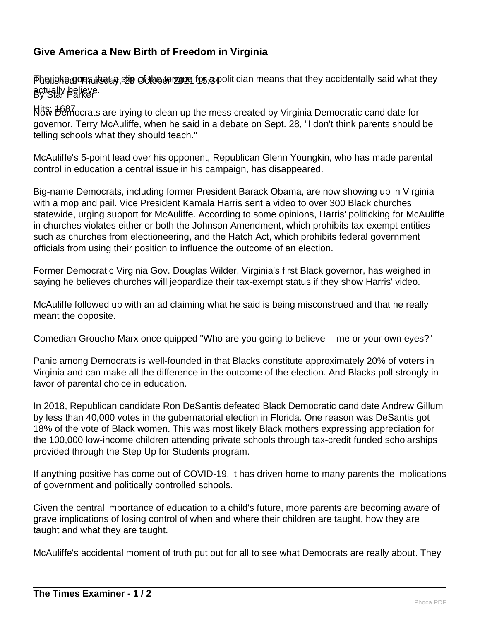## **Give America a New Birth of Freedom in Virginia**

Pheliske goes lists of the sorten and the same in the recidentally said what they sum that they By Star Parker actually believe.

Hits: 1687 Now Democrats are trying to clean up the mess created by Virginia Democratic candidate for governor, Terry McAuliffe, when he said in a debate on Sept. 28, "I don't think parents should be telling schools what they should teach."

McAuliffe's 5-point lead over his opponent, Republican Glenn Youngkin, who has made parental control in education a central issue in his campaign, has disappeared.

Big-name Democrats, including former President Barack Obama, are now showing up in Virginia with a mop and pail. Vice President Kamala Harris sent a video to over 300 Black churches statewide, urging support for McAuliffe. According to some opinions, Harris' politicking for McAuliffe in churches violates either or both the Johnson Amendment, which prohibits tax-exempt entities such as churches from electioneering, and the Hatch Act, which prohibits federal government officials from using their position to influence the outcome of an election.

Former Democratic Virginia Gov. Douglas Wilder, Virginia's first Black governor, has weighed in saying he believes churches will jeopardize their tax-exempt status if they show Harris' video.

McAuliffe followed up with an ad claiming what he said is being misconstrued and that he really meant the opposite.

Comedian Groucho Marx once quipped "Who are you going to believe -- me or your own eyes?"

Panic among Democrats is well-founded in that Blacks constitute approximately 20% of voters in Virginia and can make all the difference in the outcome of the election. And Blacks poll strongly in favor of parental choice in education.

In 2018, Republican candidate Ron DeSantis defeated Black Democratic candidate Andrew Gillum by less than 40,000 votes in the gubernatorial election in Florida. One reason was DeSantis got 18% of the vote of Black women. This was most likely Black mothers expressing appreciation for the 100,000 low-income children attending private schools through tax-credit funded scholarships provided through the Step Up for Students program.

If anything positive has come out of COVID-19, it has driven home to many parents the implications of government and politically controlled schools.

Given the central importance of education to a child's future, more parents are becoming aware of grave implications of losing control of when and where their children are taught, how they are taught and what they are taught.

McAuliffe's accidental moment of truth put out for all to see what Democrats are really about. They